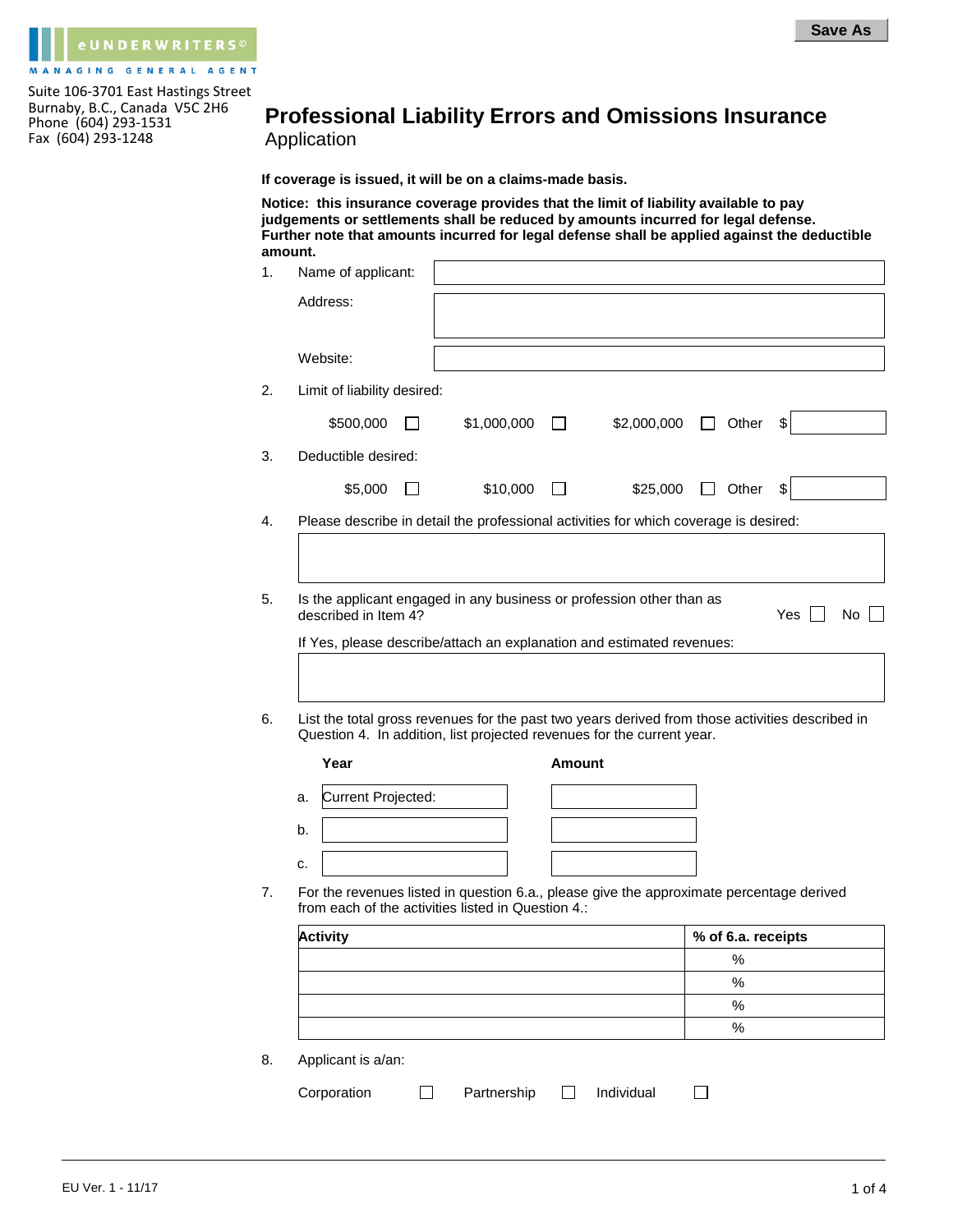

## **Professional Liability Errors and Omissions Insurance**  Application

**If coverage is issued, it will be on a claims-made basis.**

**Notice: this insurance coverage provides that the limit of liability available to pay judgements or settlements shall be reduced by amounts incurred for legal defense. Further note that amounts incurred for legal defense shall be applied against the deductible amount.**

|    | Name of applicant:          |                                                    |               |                                                                                                                                                                           |         |                            |     |    |
|----|-----------------------------|----------------------------------------------------|---------------|---------------------------------------------------------------------------------------------------------------------------------------------------------------------------|---------|----------------------------|-----|----|
|    | Address:                    |                                                    |               |                                                                                                                                                                           |         |                            |     |    |
|    |                             |                                                    |               |                                                                                                                                                                           |         |                            |     |    |
|    | Website:                    |                                                    |               |                                                                                                                                                                           |         |                            |     |    |
|    | Limit of liability desired: |                                                    |               |                                                                                                                                                                           |         |                            |     |    |
|    | \$500,000                   | \$1,000,000                                        | $\perp$       | \$2,000,000                                                                                                                                                               | $\perp$ | Other                      | \$  |    |
|    | Deductible desired:         |                                                    |               |                                                                                                                                                                           |         |                            |     |    |
|    | \$5,000                     | \$10,000                                           |               | \$25,000                                                                                                                                                                  |         | $\Box$ Other               | \$  |    |
|    |                             |                                                    |               | Please describe in detail the professional activities for which coverage is desired:                                                                                      |         |                            |     |    |
|    |                             |                                                    |               |                                                                                                                                                                           |         |                            |     |    |
|    |                             |                                                    |               |                                                                                                                                                                           |         |                            |     |    |
|    | described in Item 4?        |                                                    |               | Is the applicant engaged in any business or profession other than as<br>If Yes, please describe/attach an explanation and estimated revenues:                             |         |                            | Yes |    |
|    |                             |                                                    |               | List the total gross revenues for the past two years derived from those activities described in<br>Question 4. In addition, list projected revenues for the current year. |         |                            |     |    |
|    | Year                        |                                                    | <b>Amount</b> |                                                                                                                                                                           |         |                            |     |    |
| a. | Current Projected:          |                                                    |               |                                                                                                                                                                           |         |                            |     |    |
| b. |                             |                                                    |               |                                                                                                                                                                           |         |                            |     |    |
| c. |                             |                                                    |               |                                                                                                                                                                           |         |                            |     |    |
|    |                             |                                                    |               | For the revenues listed in question 6.a., please give the approximate percentage derived                                                                                  |         |                            |     |    |
|    |                             | from each of the activities listed in Question 4.: |               |                                                                                                                                                                           |         |                            |     |    |
|    | <b>Activity</b>             |                                                    |               |                                                                                                                                                                           |         | % of 6.a. receipts<br>$\%$ |     |    |
|    |                             |                                                    |               |                                                                                                                                                                           |         | %                          |     | No |
|    |                             |                                                    |               |                                                                                                                                                                           |         | $\%$<br>$\%$               |     |    |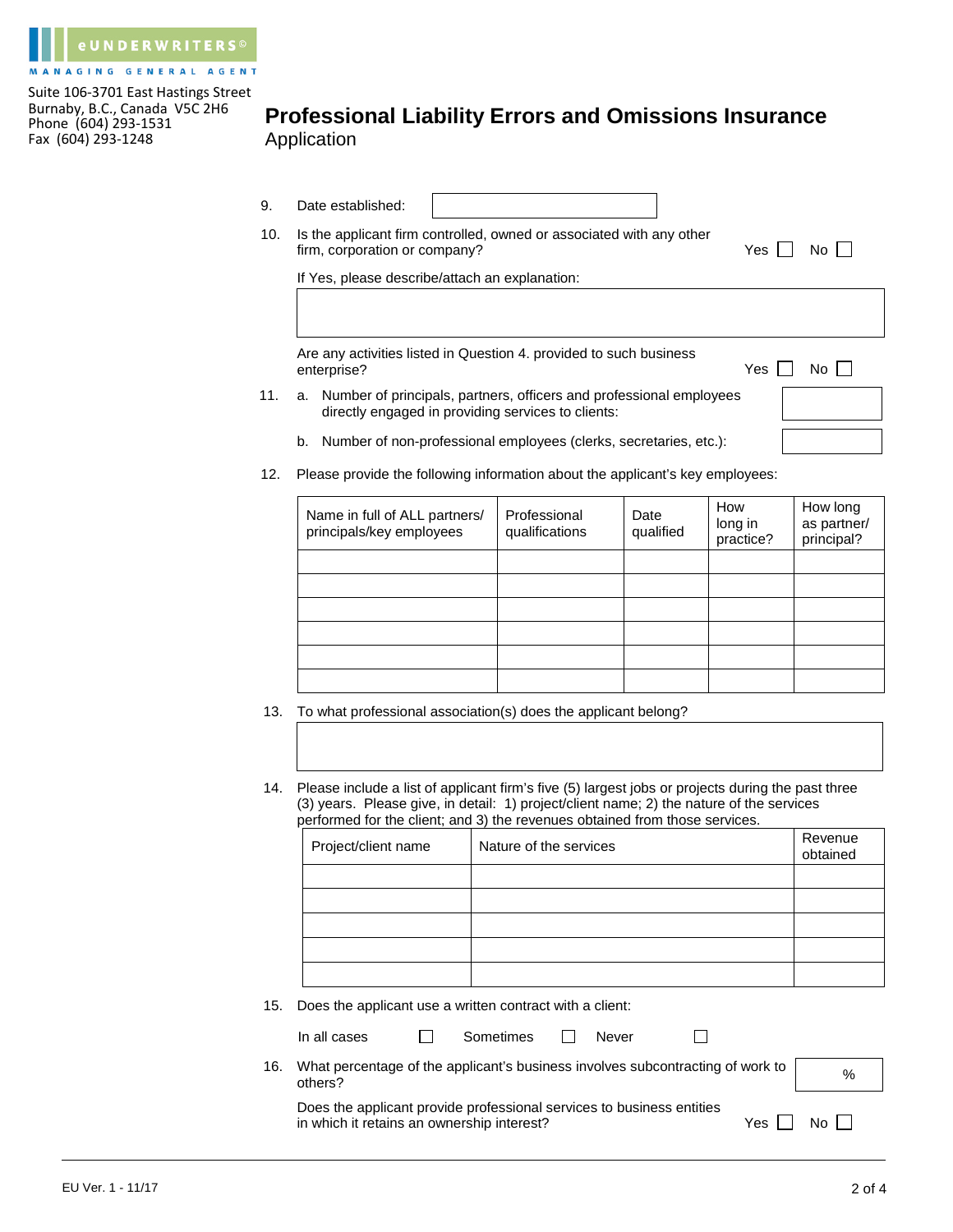

## **Professional Liability Errors and Omissions Insurance**  Application

- 9. Date established:
- 10. Is the applicant firm controlled, owned or associated with any other firm, corporation or company?  $Yes \Box No \Box$

If Yes, please describe/attach an explanation:

Are any activities listed in Question 4. provided to such business enterprise? Yes Note 1, 1999 and 2, 1999 and 2, 1999 and 2, 1999 and 2, 1999 and 2, 1999 and 2, 1999 and 2, 1999 and 2, 1999 and 2, 1999 and 2, 1999 and 2, 1999 and 2, 1999 and 2, 1999 and 2, 1999 and 2, 1999 and 2, 1999 a

11. a. Number of principals, partners, officers and professional employees directly engaged in providing services to clients:

| 9Ś | $No$ $\Box$ |  |
|----|-------------|--|
|    |             |  |
|    |             |  |

- b. Number of non-professional employees (clerks, secretaries, etc.):
- 12. Please provide the following information about the applicant's key employees:

| Name in full of ALL partners/<br>principals/key employees | Professional<br>qualifications | Date<br>qualified | How<br>long in<br>practice? | How long<br>as partner/<br>principal? |
|-----------------------------------------------------------|--------------------------------|-------------------|-----------------------------|---------------------------------------|
|                                                           |                                |                   |                             |                                       |
|                                                           |                                |                   |                             |                                       |
|                                                           |                                |                   |                             |                                       |
|                                                           |                                |                   |                             |                                       |
|                                                           |                                |                   |                             |                                       |
|                                                           |                                |                   |                             |                                       |

- 13. To what professional association(s) does the applicant belong?
- 14. Please include a list of applicant firm's five (5) largest jobs or projects during the past three (3) years. Please give, in detail: 1) project/client name; 2) the nature of the services performed for the client; and 3) the revenues obtained from those services.

| Project/client name | Nature of the services | Revenue<br>obtained |
|---------------------|------------------------|---------------------|
|                     |                        |                     |
|                     |                        |                     |
|                     |                        |                     |
|                     |                        |                     |
|                     |                        |                     |

15. Does the applicant use a written contract with a client:

| Sometimes |  | Never |
|-----------|--|-------|
|-----------|--|-------|

16. What percentage of the applicant's business involves subcontracting of work to others?

| Does the applicant provide professional services to business entities |  |
|-----------------------------------------------------------------------|--|
| in which it retains an ownership interest?                            |  |

Yes  $\Box$  No  $\Box$ 

 $\Box$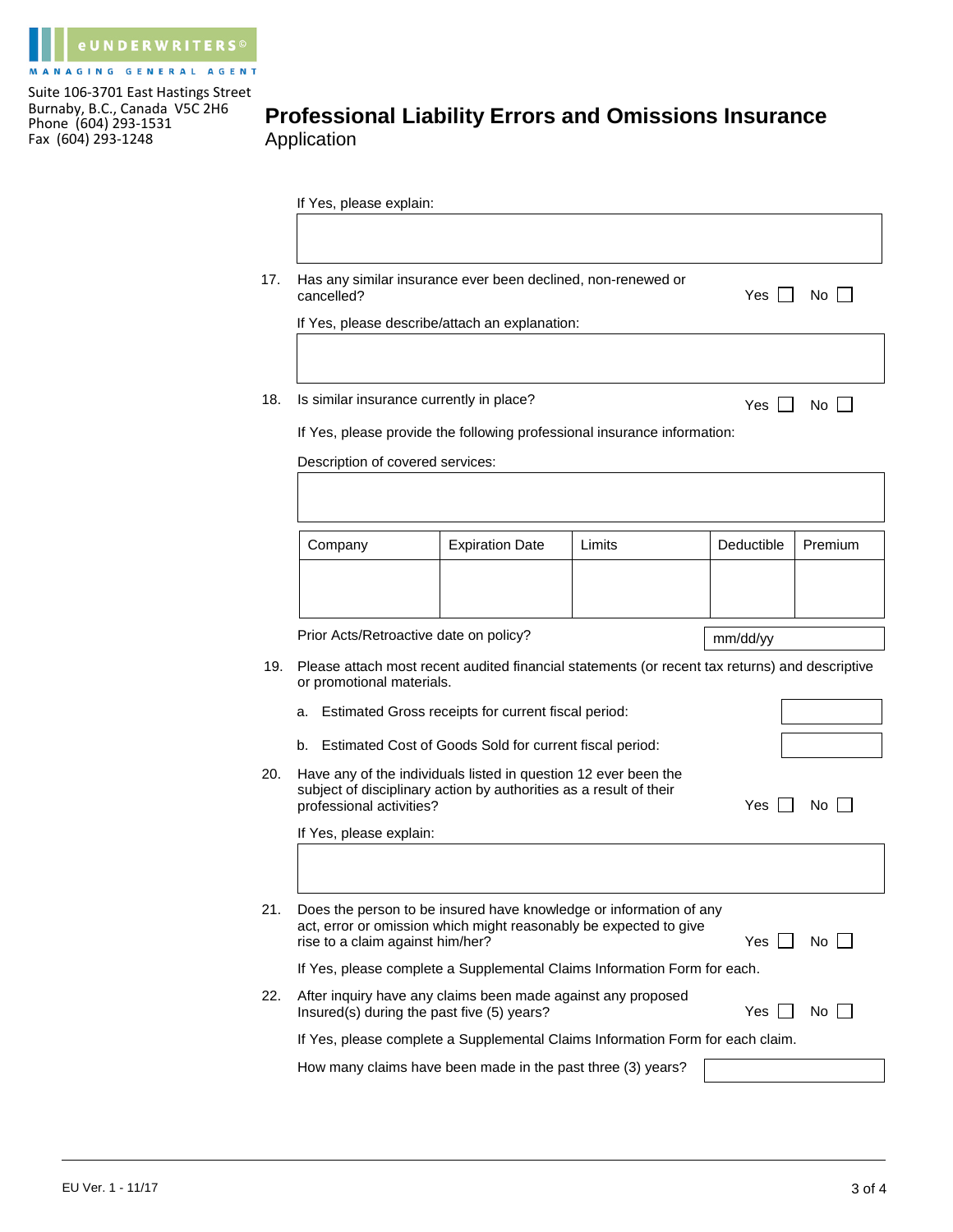

## **Professional Liability Errors and Omissions Insurance**  Application

|     | If Yes, please explain:                                                                                                                                                                    |                                                                                                                                       |        |            |         |  |
|-----|--------------------------------------------------------------------------------------------------------------------------------------------------------------------------------------------|---------------------------------------------------------------------------------------------------------------------------------------|--------|------------|---------|--|
| 17. | Has any similar insurance ever been declined, non-renewed or<br>cancelled?                                                                                                                 | Yes                                                                                                                                   | No     |            |         |  |
|     |                                                                                                                                                                                            | If Yes, please describe/attach an explanation:                                                                                        |        |            |         |  |
| 18. | Is similar insurance currently in place?                                                                                                                                                   | If Yes, please provide the following professional insurance information:                                                              |        | Yes        | No.     |  |
|     | Description of covered services:                                                                                                                                                           |                                                                                                                                       |        |            |         |  |
|     | Company                                                                                                                                                                                    | <b>Expiration Date</b>                                                                                                                | Limits | Deductible | Premium |  |
|     |                                                                                                                                                                                            |                                                                                                                                       |        |            |         |  |
|     | Prior Acts/Retroactive date on policy?                                                                                                                                                     |                                                                                                                                       |        | mm/dd/yy   |         |  |
| 19. | or promotional materials.                                                                                                                                                                  | Please attach most recent audited financial statements (or recent tax returns) and descriptive                                        |        |            |         |  |
|     | a.                                                                                                                                                                                         | Estimated Gross receipts for current fiscal period:                                                                                   |        |            |         |  |
|     | b.                                                                                                                                                                                         | Estimated Cost of Goods Sold for current fiscal period:                                                                               |        |            |         |  |
| 20. | professional activities?                                                                                                                                                                   | Have any of the individuals listed in question 12 ever been the<br>subject of disciplinary action by authorities as a result of their |        |            | No.     |  |
|     | If Yes, please explain:                                                                                                                                                                    |                                                                                                                                       |        |            |         |  |
| 21. | Does the person to be insured have knowledge or information of any<br>act, error or omission which might reasonably be expected to give<br>No I<br>rise to a claim against him/her?<br>Yes |                                                                                                                                       |        |            |         |  |
|     |                                                                                                                                                                                            | If Yes, please complete a Supplemental Claims Information Form for each.                                                              |        |            |         |  |
| 22. | After inquiry have any claims been made against any proposed<br>Yes.<br>No<br>Insured(s) during the past five (5) years?                                                                   |                                                                                                                                       |        |            |         |  |
|     |                                                                                                                                                                                            |                                                                                                                                       |        |            |         |  |